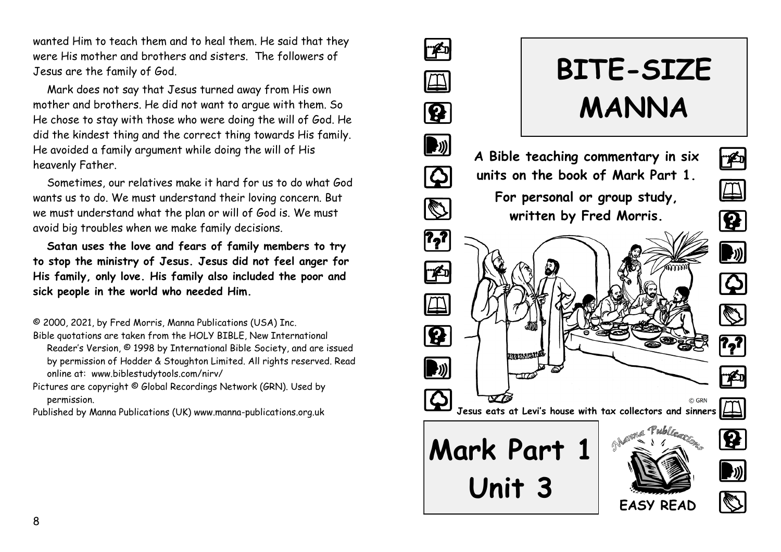wanted Him to teach them and to heal them. He said that they were His mother and brothers and sisters. The followers of Jesus are the family of God.

Mark does not say that Jesus turned away from His own mother and brothers. He did not want to argue with them. So He chose to stay with those who were doing the will of God. He did the kindest thing and the correct thing towards His family. He avoided a family argument while doing the will of His heavenly Father.

Sometimes, our relatives make it hard for us to do what God wants us to do. We must understand their loving concern. But we must understand what the plan or will of God is. We must avoid big troubles when we make family decisions.

**Satan uses the love and fears of family members to try to stop the ministry of Jesus. Jesus did not feel anger for His family, only love. His family also included the poor and sick people in the world who needed Him.**

© 2000, 2021, by Fred Morris, Manna Publications (USA) Inc.

- Bible quotations are taken from the HOLY BIBLE, New International Reader's Version, © 1998 by International Bible Society, and are issued by permission of Hodder & Stoughton Limited. All rights reserved. Read online at: www.biblestudytools.com/nirv/
- Pictures are copyright © Global Recordings Network (GRN). Used by permission.

Published by Manna Publications (UK) www.manna-publications.org.uk

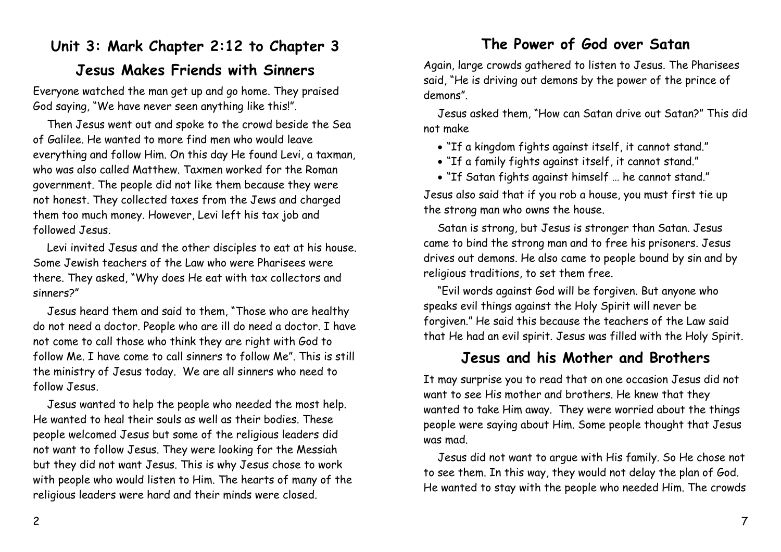### **Unit 3: Mark Chapter 2:12 to Chapter 3**

#### **Jesus Makes Friends with Sinners**

Everyone watched the man get up and go home. They praised God saying, "We have never seen anything like this!".

Then Jesus went out and spoke to the crowd beside the Sea of Galilee. He wanted to more find men who would leave everything and follow Him. On this day He found Levi, a taxman, who was also called Matthew. Taxmen worked for the Roman government. The people did not like them because they were not honest. They collected taxes from the Jews and charged them too much money. However, Levi left his tax job and followed Jesus.

Levi invited Jesus and the other disciples to eat at his house. Some Jewish teachers of the Law who were Pharisees were there. They asked, "Why does He eat with tax collectors and sinners?"

Jesus heard them and said to them, "Those who are healthy do not need a doctor. People who are ill do need a doctor. I have not come to call those who think they are right with God to follow Me. I have come to call sinners to follow Me". This is still the ministry of Jesus today. We are all sinners who need to follow Jesus.

Jesus wanted to help the people who needed the most help. He wanted to heal their souls as well as their bodies. These people welcomed Jesus but some of the religious leaders did not want to follow Jesus. They were looking for the Messiah but they did not want Jesus. This is why Jesus chose to work with people who would listen to Him. The hearts of many of the religious leaders were hard and their minds were closed.

#### **The Power of God over Satan**

Again, large crowds gathered to listen to Jesus. The Pharisees said, "He is driving out demons by the power of the prince of demons".

Jesus asked them, "How can Satan drive out Satan?" This did not make

- "If a kingdom fights against itself, it cannot stand."
- "If a family fights against itself, it cannot stand."
- "If Satan fights against himself … he cannot stand."

Jesus also said that if you rob a house, you must first tie up the strong man who owns the house.

Satan is strong, but Jesus is stronger than Satan. Jesus came to bind the strong man and to free his prisoners. Jesus drives out demons. He also came to people bound by sin and by religious traditions, to set them free.

"Evil words against God will be forgiven. But anyone who speaks evil things against the Holy Spirit will never be forgiven." He said this because the teachers of the Law said that He had an evil spirit. Jesus was filled with the Holy Spirit.

### **Jesus and his Mother and Brothers**

It may surprise you to read that on one occasion Jesus did not want to see His mother and brothers. He knew that they wanted to take Him away. They were worried about the things people were saying about Him. Some people thought that Jesus was mad.

Jesus did not want to argue with His family. So He chose not to see them. In this way, they would not delay the plan of God. He wanted to stay with the people who needed Him. The crowds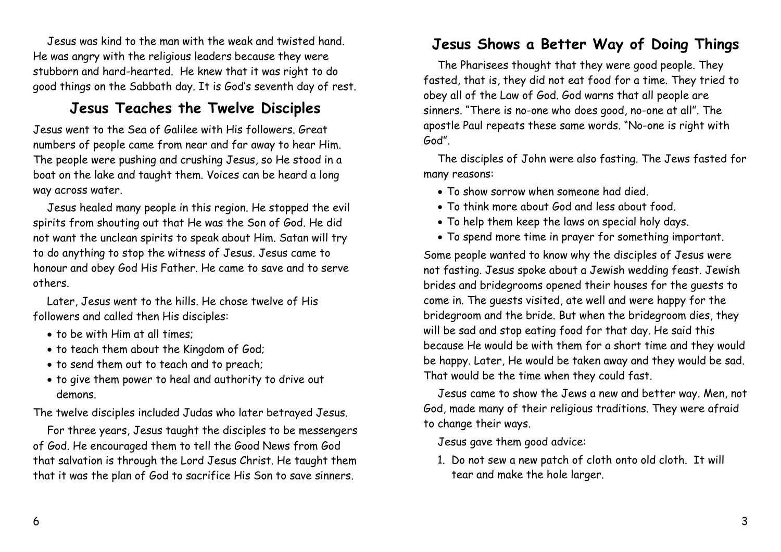Jesus was kind to the man with the weak and twisted hand. He was angry with the religious leaders because they were stubborn and hard-hearted. He knew that it was right to do good things on the Sabbath day. It is God's seventh day of rest.

#### **Jesus Teaches the Twelve Disciples**

Jesus went to the Sea of Galilee with His followers. Great numbers of people came from near and far away to hear Him. The people were pushing and crushing Jesus, so He stood in a boat on the lake and taught them. Voices can be heard a long way across water.

Jesus healed many people in this region. He stopped the evil spirits from shouting out that He was the Son of God. He did not want the unclean spirits to speak about Him. Satan will try to do anything to stop the witness of Jesus. Jesus came to honour and obey God His Father. He came to save and to serve others.

Later, Jesus went to the hills. He chose twelve of His followers and called then His disciples:

- to be with Him at all times;
- to teach them about the Kingdom of God;
- to send them out to teach and to preach;
- to give them power to heal and authority to drive out demons.

The twelve disciples included Judas who later betrayed Jesus.

For three years, Jesus taught the disciples to be messengers of God. He encouraged them to tell the Good News from God that salvation is through the Lord Jesus Christ. He taught them that it was the plan of God to sacrifice His Son to save sinners.

## **Jesus Shows a Better Way of Doing Things**

The Pharisees thought that they were good people. They fasted, that is, they did not eat food for a time. They tried to obey all of the Law of God. God warns that all people are sinners. "There is no-one who does good, no-one at all". The apostle Paul repeats these same words. "No-one is right with God".

The disciples of John were also fasting. The Jews fasted for many reasons:

- To show sorrow when someone had died.
- To think more about God and less about food.
- To help them keep the laws on special holy days.
- To spend more time in prayer for something important.

Some people wanted to know why the disciples of Jesus were not fasting. Jesus spoke about a Jewish wedding feast. Jewish brides and bridegrooms opened their houses for the guests to come in. The guests visited, ate well and were happy for the bridegroom and the bride. But when the bridegroom dies, they will be sad and stop eating food for that day. He said this because He would be with them for a short time and they would be happy. Later, He would be taken away and they would be sad. That would be the time when they could fast.

Jesus came to show the Jews a new and better way. Men, not God, made many of their religious traditions. They were afraid to change their ways.

Jesus gave them good advice:

1. Do not sew a new patch of cloth onto old cloth. It will tear and make the hole larger.